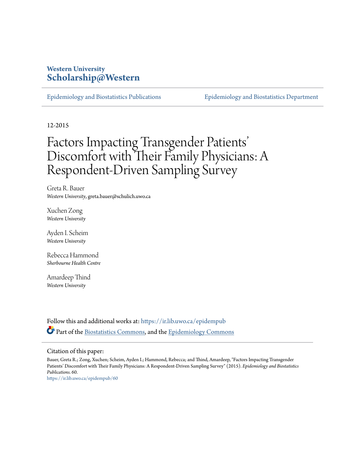## **Western University [Scholarship@Western](https://ir.lib.uwo.ca?utm_source=ir.lib.uwo.ca%2Fepidempub%2F60&utm_medium=PDF&utm_campaign=PDFCoverPages)**

[Epidemiology and Biostatistics Publications](https://ir.lib.uwo.ca/epidempub?utm_source=ir.lib.uwo.ca%2Fepidempub%2F60&utm_medium=PDF&utm_campaign=PDFCoverPages) [Epidemiology and Biostatistics Department](https://ir.lib.uwo.ca/epidem?utm_source=ir.lib.uwo.ca%2Fepidempub%2F60&utm_medium=PDF&utm_campaign=PDFCoverPages)

12-2015

## Factors Impacting Transgender Patients ' Discomfort with Their Family Physicians: A Respondent-Driven Sampling Survey

Greta R. Bauer *Western University*, greta.bauer@schulich.uwo.ca

Xuchen Zong *Western University*

Ayden I. Scheim *Western University*

Rebecca Hammond *Sherbourne Health Centre*

Amardeep Thind *Western University*

Follow this and additional works at: [https://ir.lib.uwo.ca/epidempub](https://ir.lib.uwo.ca/epidempub?utm_source=ir.lib.uwo.ca%2Fepidempub%2F60&utm_medium=PDF&utm_campaign=PDFCoverPages) Part of the [Biostatistics Commons,](http://network.bepress.com/hgg/discipline/210?utm_source=ir.lib.uwo.ca%2Fepidempub%2F60&utm_medium=PDF&utm_campaign=PDFCoverPages) and the [Epidemiology Commons](http://network.bepress.com/hgg/discipline/740?utm_source=ir.lib.uwo.ca%2Fepidempub%2F60&utm_medium=PDF&utm_campaign=PDFCoverPages)

#### Citation of this paper:

Bauer, Greta R.; Zong, Xuchen; Scheim, Ayden I.; Hammond, Rebecca; and Thind, Amardeep, "Factors Impacting Transgender Patients' Discomfort with Their Family Physicians: A Respondent-Driven Sampling Survey" (2015). *Epidemiology and Biostatistics Publications*. 60.

[https://ir.lib.uwo.ca/epidempub/60](https://ir.lib.uwo.ca/epidempub/60?utm_source=ir.lib.uwo.ca%2Fepidempub%2F60&utm_medium=PDF&utm_campaign=PDFCoverPages)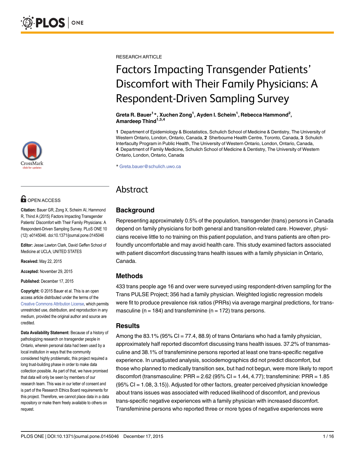

# **G** OPEN ACCESS

Citation: Bauer GR, Zong X, Scheim AI, Hammond R, Thind A (2015) Factors Impacting Transgender Patients' Discomfort with Their Family Physicians: A Respondent-Driven Sampling Survey. PLoS ONE 10 (12): e0145046. doi:10.1371/journal.pone.0145046

Editor: Jesse Lawton Clark, David Geffen School of Medicine at UCLA, UNITED STATES

Received: May 22, 2015

Accepted: November 29, 2015

Published: December 17, 2015

Copyright: © 2015 Bauer et al. This is an open access article distributed under the terms of the [Creative Commons Attribution License,](http://creativecommons.org/licenses/by/4.0/) which permits unrestricted use, distribution, and reproduction in any medium, provided the original author and source are credited.

Data Availability Statement: Because of a history of pathologizing research on transgender people in Ontario, wherein personal data had been used by a local institution in ways that the community considered highly problematic, this project required a long trust-building phase in order to make data collection possible. As part of that, we have promised that data will only be seen by members of our research team. This was in our letter of consent and is part of the Research Ethics Board requirements for this project. Therefore, we cannot place data in a data repository or make them freely available to others on request.

RESEARCH ARTICLE

# Factors Impacting Transgender Patients' Discomfort with Their Family Physicians: A Respondent-Driven Sampling Survey

Greta R. Bauer<sup>1</sup>\*, Xuchen Zong<sup>1</sup>, Ayden I. Scheim<sup>1</sup>, Rebecca Hammond<sup>2</sup>, Amardeep Thind<sup>1,3,4</sup>

1 Department of Epidemiology & Biostatistics, Schulich School of Medicine & Dentistry, The University of Western Ontario, London, Ontario, Canada, 2 Sherbourne Health Centre, Toronto, Canada, 3 Schulich Interfaculty Program in Public Health, The University of Western Ontario, London, Ontario, Canada, 4 Department of Family Medicine, Schulich School of Medicine & Dentistry, The University of Western Ontario, London, Ontario, Canada

\* Greta.bauer@schulich.uwo.ca

## Abstract

## **Background**

Representing approximately 0.5% of the population, transgender (trans) persons in Canada depend on family physicians for both general and transition-related care. However, physicians receive little to no training on this patient population, and trans patients are often profoundly uncomfortable and may avoid health care. This study examined factors associated with patient discomfort discussing trans health issues with a family physician in Ontario, Canada.

### Methods

433 trans people age 16 and over were surveyed using respondent-driven sampling for the Trans PULSE Project; 356 had a family physician. Weighted logistic regression models were fit to produce prevalence risk ratios (PRRs) via average marginal predictions, for transmasculine ( $n = 184$ ) and transfeminine ( $n = 172$ ) trans persons.

#### Results

Among the 83.1% (95% CI = 77.4, 88.9) of trans Ontarians who had a family physician, approximately half reported discomfort discussing trans health issues. 37.2% of transmasculine and 38.1% of transfeminine persons reported at least one trans-specific negative experience. In unadjusted analysis, sociodemographics did not predict discomfort, but those who planned to medically transition sex, but had not begun, were more likely to report discomfort (transmasculine: PRR =  $2.62$  (95% CI = 1.44, 4.77); transfeminine: PRR = 1.85 (95% CI = 1.08, 3.15)). Adjusted for other factors, greater perceived physician knowledge about trans issues was associated with reduced likelihood of discomfort, and previous trans-specific negative experiences with a family physician with increased discomfort. Transfeminine persons who reported three or more types of negative experiences were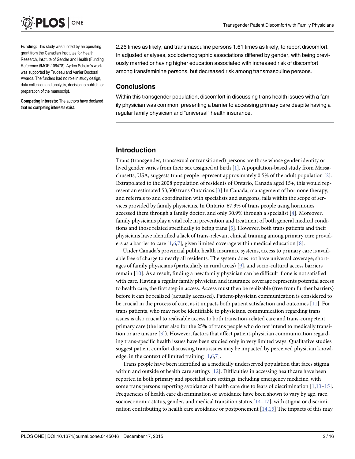<span id="page-2-0"></span>

Funding: This study was funded by an operating grant from the Canadian Institutes for Health Research, Institute of Gender and Health (Funding Reference #MOP-106478). Ayden Scheim's work was supported by Trudeau and Vanier Doctoral Awards. The funders had no role in study design, data collection and analysis, decision to publish, or preparation of the manuscript.

Competing Interests: The authors have declared that no competing interests exist.

2.26 times as likely, and transmasculine persons 1.61 times as likely, to report discomfort. In adjusted analyses, sociodemographic associations differed by gender, with being previously married or having higher education associated with increased risk of discomfort among transfeminine persons, but decreased risk among transmasculine persons.

#### **Conclusions**

Within this transgender population, discomfort in discussing trans health issues with a family physician was common, presenting a barrier to accessing primary care despite having a regular family physician and "universal" health insurance.

#### Introduction

Trans (transgender, transsexual or transitioned) persons are those whose gender identity or lived gender varies from their sex assigned at birth  $[1]$  $[1]$ . A population-based study from Massachusetts, USA, suggests trans people represent approximately 0.5% of the adult population [[2](#page-14-0)]. Extrapolated to the 2008 population of residents of Ontario, Canada aged 15+, this would represent an estimated 53,500 trans Ontarians.[\[3\]](#page-14-0) In Canada, management of hormone therapy, and referrals to and coordination with specialists and surgeons, falls within the scope of services provided by family physicians. In Ontario, 67.3% of trans people using hormones accessed them through a family doctor, and only 30.9% through a specialist [\[4\]](#page-14-0). Moreover, family physicians play a vital role in prevention and treatment of both general medical conditions and those related specifically to being trans  $[5]$  $[5]$ . However, both trans patients and their physicians have identified a lack of trans-relevant clinical training among primary care providers as a barrier to care  $[1,6,7]$  $[1,6,7]$ , given limited coverage within medical education  $[8]$  $[8]$ .

Under Canada's provincial public health insurance systems, access to primary care is available free of charge to nearly all residents. The system does not have universal coverage; shortages of family physicians (particularly in rural areas) [[9\]](#page-14-0), and socio-cultural access barriers remain [\[10\]](#page-14-0). As a result, finding a new family physician can be difficult if one is not satisfied with care. Having a regular family physician and insurance coverage represents potential access to health care, the first step in access. Access must then be realizable (free from further barriers) before it can be realized (actually accessed). Patient-physician communication is considered to be crucial in the process of care, as it impacts both patient satisfaction and outcomes [\[11\]](#page-14-0). For trans patients, who may not be identifiable to physicians, communication regarding trans issues is also crucial to realizable access to both transition-related care and trans-competent primary care (the latter also for the 25% of trans people who do not intend to medically transition or are unsure [\[3](#page-14-0)]). However, factors that affect patient-physician communication regarding trans-specific health issues have been studied only in very limited ways. Qualitative studies suggest patient comfort discussing trans issues may be impacted by perceived physician knowledge, in the context of limited training [\[1,6,7\]](#page-14-0).

Trans people have been identified as a medically underserved population that faces stigma within and outside of health care settings  $[12]$  $[12]$  $[12]$ . Difficulties in accessing healthcare have been reported in both primary and specialist care settings, including emergency medicine, with some trans persons reporting avoidance of health care due to fears of discrimination [[1,13](#page-14-0)–[15](#page-14-0)]. Frequencies of health care discrimination or avoidance have been shown to vary by age, race, socioeconomic status, gender, and medical transition status.  $[14-17]$  $[14-17]$  $[14-17]$ , with stigma or discrimination contributing to health care avoidance or postponement  $[14,15]$  $[14,15]$  $[14,15]$  $[14,15]$  $[14,15]$  The impacts of this may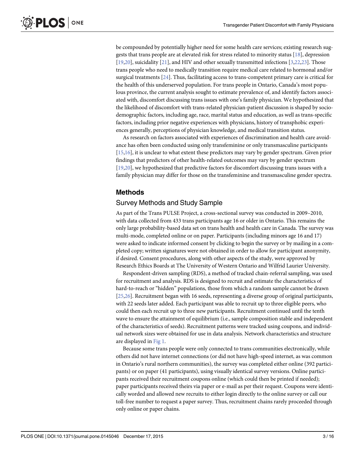<span id="page-3-0"></span>**PLOS I** ONE

> be compounded by potentially higher need for some health care services; existing research suggests that trans people are at elevated risk for stress related to minority status [[18](#page-15-0)], depression  $[19,20]$ , suicidality  $[21]$  $[21]$  $[21]$ , and HIV and other sexually transmitted infections  $[3,22,23]$  $[3,22,23]$ . Those trans people who need to medically transition require medical care related to hormonal and/or surgical treatments [\[24\]](#page-15-0). Thus, facilitating access to trans-competent primary care is critical for the health of this underserved population. For trans people in Ontario, Canada's most populous province, the current analysis sought to estimate prevalence of, and identify factors associated with, discomfort discussing trans issues with one's family physician. We hypothesized that the likelihood of discomfort with trans-related physician-patient discussion is shaped by sociodemographic factors, including age, race, marital status and education, as well as trans-specific factors, including prior negative experiences with physicians, history of transphobic experiences generally, perceptions of physician knowledge, and medical transition status.

> As research on factors associated with experiences of discrimination and health care avoidance has often been conducted using only transfeminine or only transmasculine participants [\[15,16\]](#page-14-0), it is unclear to what extent these predictors may vary by gender spectrum. Given prior findings that predictors of other health-related outcomes may vary by gender spectrum [\[19,20\]](#page-15-0), we hypothesized that predictive factors for discomfort discussing trans issues with a family physician may differ for those on the transfeminine and transmasculine gender spectra.

#### Methods

#### Survey Methods and Study Sample

As part of the Trans PULSE Project, a cross-sectional survey was conducted in 2009–2010, with data collected from 433 trans participants age 16 or older in Ontario. This remains the only large probability-based data set on trans health and health care in Canada. The survey was multi-mode, completed online or on paper. Participants (including minors age 16 and 17) were asked to indicate informed consent by clicking to begin the survey or by mailing in a completed copy; written signatures were not obtained in order to allow for participant anonymity, if desired. Consent procedures, along with other aspects of the study, were approved by Research Ethics Boards at The University of Western Ontario and Wilfrid Laurier University.

Respondent-driven sampling (RDS), a method of tracked chain-referral sampling, was used for recruitment and analysis. RDS is designed to recruit and estimate the characteristics of hard-to-reach or "hidden" populations, those from which a random sample cannot be drawn [\[25,26\]](#page-15-0). Recruitment began with 16 seeds, representing a diverse group of original participants, with 22 seeds later added. Each participant was able to recruit up to three eligible peers, who could then each recruit up to three new participants. Recruitment continued until the tenth wave to ensure the attainment of equilibrium (i.e., sample composition stable and independent of the characteristics of seeds). Recruitment patterns were tracked using coupons, and individual network sizes were obtained for use in data analysis. Network characteristics and structure are displayed in [Fig 1.](#page-4-0)

Because some trans people were only connected to trans communities electronically, while others did not have internet connections (or did not have high-speed internet, as was common in Ontario's rural northern communities), the survey was completed either online (392 participants) or on paper (41 participants), using visually identical survey versions. Online participants received their recruitment coupons online (which could then be printed if needed); paper participants received theirs via paper or e-mail as per their request. Coupons were identically worded and allowed new recruits to either login directly to the online survey or call our toll-free number to request a paper survey. Thus, recruitment chains rarely proceeded through only online or paper chains.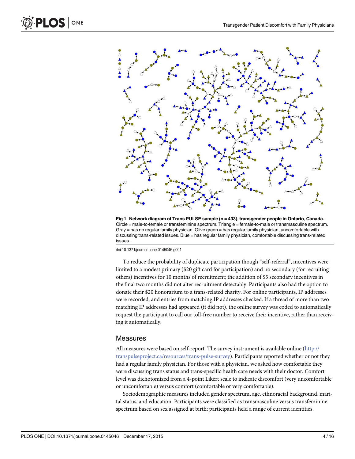<span id="page-4-0"></span>

[Fig 1. N](#page-3-0)etwork diagram of Trans PULSE sample (n = 433), transgender people in Ontario, Canada. Circle = male-to-female or transfeminine spectrum. Triangle = female-to-male or transmasculine spectrum. Gray = has no regular family physician. Olive green = has regular family physician, uncomfortable with discussing trans-related issues. Blue = has regular family physician, comfortable discussing trans-related issues.

doi:10.1371/journal.pone.0145046.g001

To reduce the probability of duplicate participation though "self-referral", incentives were limited to a modest primary (\$20 gift card for participation) and no secondary (for recruiting others) incentives for 10 months of recruitment; the addition of \$5 secondary incentives in the final two months did not alter recruitment detectably. Participants also had the option to donate their \$20 honorarium to a trans-related charity. For online participants, IP addresses were recorded, and entries from matching IP addresses checked. If a thread of more than two matching IP addresses had appeared (it did not), the online survey was coded to automatically request the participant to call our toll-free number to receive their incentive, rather than receiving it automatically.

#### Measures

All measures were based on self-report. The survey instrument is available online ([http://](http://transpulseproject.ca/resources/trans-pulse-survey) [transpulseproject.ca/resources/trans-pulse-survey\)](http://transpulseproject.ca/resources/trans-pulse-survey). Participants reported whether or not they had a regular family physician. For those with a physician, we asked how comfortable they were discussing trans status and trans-specific health care needs with their doctor. Comfort level was dichotomized from a 4-point Likert scale to indicate discomfort (very uncomfortable or uncomfortable) versus comfort (comfortable or very comfortable).

Sociodemographic measures included gender spectrum, age, ethnoracial background, marital status, and education. Participants were classified as transmasculine versus transfeminine spectrum based on sex assigned at birth; participants held a range of current identities,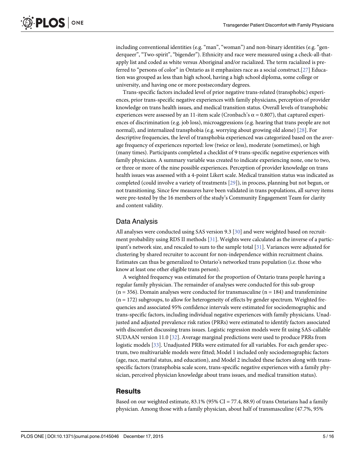<span id="page-5-0"></span>including conventional identities (e.g. "man", "woman") and non-binary identities (e.g. "genderqueer", "Two-spirit", "bigender"). Ethnicity and race were measured using a check-all-thatapply list and coded as white versus Aboriginal and/or racialized. The term racialized is pre-ferred to "persons of color" in Ontario as it emphasizes race as a social construct.[\[27\]](#page-15-0) Education was grouped as less than high school, having a high school diploma, some college or university, and having one or more postsecondary degrees.

Trans-specific factors included level of prior negative trans-related (transphobic) experiences, prior trans-specific negative experiences with family physicians, perception of provider knowledge on trans health issues, and medical transition status. Overall levels of transphobic experiences were assessed by an 11-item scale (Cronbach's  $\alpha$  = 0.807), that captured experiences of discrimination (e.g. job loss), microaggressions (e.g. hearing that trans people are not normal), and internalized transphobia (e.g. worrying about growing old alone) [[28\]](#page-15-0). For descriptive frequencies, the level of transphobia experienced was categorized based on the average frequency of experiences reported: low (twice or less), moderate (sometimes), or high (many times). Participants completed a checklist of 9 trans-specific negative experiences with family physicians. A summary variable was created to indicate experiencing none, one to two, or three or more of the nine possible experiences. Perception of provider knowledge on trans health issues was assessed with a 4-point Likert scale. Medical transition status was indicated as completed (could involve a variety of treatments [[29](#page-15-0)]), in process, planning but not begun, or not transitioning. Since few measures have been validated in trans populations, all survey items were pre-tested by the 16 members of the study's Community Engagement Team for clarity and content validity.

#### Data Analysis

All analyses were conducted using SAS version 9.3 [[30](#page-15-0)] and were weighted based on recruitment probability using RDS II methods [[31](#page-15-0)]. Weights were calculated as the inverse of a participant's network size, and rescaled to sum to the sample total  $[31]$ . Variances were adjusted for clustering by shared recruiter to account for non-independence within recruitment chains. Estimates can thus be generalized to Ontario's networked trans population (i.e. those who know at least one other eligible trans person).

A weighted frequency was estimated for the proportion of Ontario trans people having a regular family physician. The remainder of analyses were conducted for this sub-group  $(n = 356)$ . Domain analyses were conducted for transmasculine  $(n = 184)$  and transfeminine  $(n = 172)$  subgroups, to allow for heterogeneity of effects by gender spectrum. Weighted frequencies and associated 95% confidence intervals were estimated for sociodemographic and trans-specific factors, including individual negative experiences with family physicians. Unadjusted and adjusted prevalence risk ratios (PRRs) were estimated to identify factors associated with discomfort discussing trans issues. Logistic regression models were fit using SAS-callable SUDAAN version 11.0 [\[32\]](#page-15-0). Average marginal predictions were used to produce PRRs from logistic models [[33](#page-15-0)]. Unadjusted PRRs were estimated for all variables. For each gender spectrum, two multivariable models were fitted; Model 1 included only sociodemographic factors (age, race, marital status, and education), and Model 2 included these factors along with transspecific factors (transphobia scale score, trans-specific negative experiences with a family physician, perceived physician knowledge about trans issues, and medical transition status).

#### **Results**

Based on our weighted estimate, 83.1% (95% CI = 77.4, 88.9) of trans Ontarians had a family physician. Among those with a family physician, about half of transmasculine (47.7%, 95%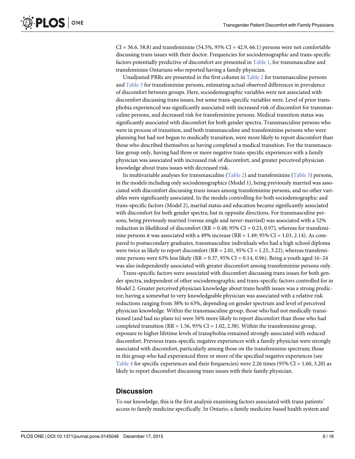<span id="page-6-0"></span> $CI = 36.6, 58.8$ ) and transfeminine (54.5%, 95%  $CI = 42.9, 66.1$ ) persons were not comfortable discussing trans issues with their doctor. Frequencies for sociodemographic and trans-specific factors potentially predictive of discomfort are presented in [Table 1,](#page-7-0) for transmasculine and transfeminine Ontarians who reported having a family physician.

Unadjusted PRRs are presented in the first column in [Table 2](#page-8-0) for transmasculine persons and [Table 3](#page-10-0) for transfeminine persons, estimating actual observed differences in prevalence of discomfort between groups. Here, sociodemographic variables were not associated with discomfort discussing trans issues, but some trans-specific variables were. Level of prior transphobia experienced was significantly associated with increased risk of discomfort for transmasculine persons, and decreased risk for transfeminine persons. Medical transition status was significantly associated with discomfort for both gender spectra. Transmasculine persons who were in process of transition, and both transmasculine and transfeminine persons who were planning but had not begun to medically transition, were more likely to report discomfort than those who described themselves as having completed a medical transition. For the transmasculine group only, having had three or more negative trans-specific experiences with a family physician was associated with increased risk of discomfort, and greater perceived physician knowledge about trans issues with decreased risk.

In multivariable analyses for transmasculine  $(Table 2)$  $(Table 2)$  and transfeminine  $(Table 3)$  $(Table 3)$  $(Table 3)$  persons, in the models including only sociodemographics (Model 1), being previously married was associated with discomfort discussing trans issues among transfeminine persons, and no other variables were significantly associated. In the models controlling for both sociodemographic and trans-specific factors (Model 2), marital status and education became significantly associated with discomfort for both gender spectra, but in opposite directions. For transmasculine persons, being previously married (versus single and never-married) was associated with a 52% reduction in likelihood of discomfort (RR =  $0.48$ ;  $95\%$  CI =  $0.23$ ,  $0.97$ ), whereas for transfeminine persons it was associated with a 49% increase ( $RR = 1.49$ ;  $95\%$  CI = 1.03, 2.14). As compared to postsecondary graduates, transmasculine individuals who had a high school diploma were twice as likely to report discomfort ( $RR = 2.01$ ,  $95\%$  CI = 1.25, 3.22), whereas transfeminine persons were 63% less likely (RR = 0.37, 95% CI = 0.14, 0.96). Being a youth aged 16–24 was also independently associated with greater discomfort among transfeminine persons only.

Trans-specific factors were associated with discomfort discussing trans issues for both gender spectra, independent of other sociodemographic and trans-specific factors controlled for in Model 2. Greater perceived physician knowledge about trans health issues was a strong predictor; having a somewhat to very knowledgeable physician was associated with a relative risk reductions ranging from 38% to 63%, depending on gender spectrum and level of perceived physician knowledge. Within the transmasculine group, those who had not medically transitioned (and had no plans to) were 56% more likely to report discomfort than those who had completed transition ( $RR = 1.56$ ,  $95\%$  CI = 1.02, 2.38). Within the transfeminine group, exposure to higher lifetime levels of transphobia remained strongly associated with reduced discomfort. Previous trans-specific negative experiences with a family physician were strongly associated with discomfort, particularly among those on the transfeminine spectrum; those in this group who had experienced three or more of the specified negative experiences (see [Table 4](#page-11-0) for specific experiences and their frequencies) were 2.26 times (95% CI = 1.60, 3.20) as likely to report discomfort discussing trans issues with their family physician.

#### **Discussion**

To our knowledge, this is the first analysis examining factors associated with trans patients' access to family medicine specifically. In Ontario, a family medicine-based health system and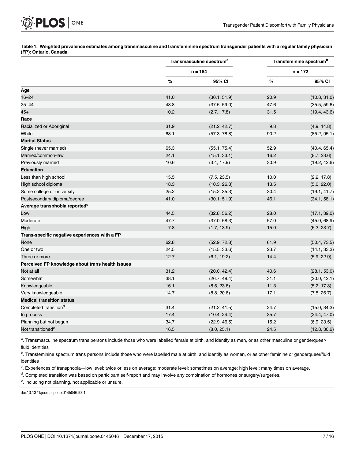[Table 1.](#page-6-0) Weighted prevalence estimates among transmasculine and transfeminine spectrum transgender patients with a regular family physician (FP): Ontario, Canada.

|                                                  | Transmasculine spectrum <sup>a</sup> |              | Transfeminine spectrum <sup>b</sup> |              |  |
|--------------------------------------------------|--------------------------------------|--------------|-------------------------------------|--------------|--|
|                                                  |                                      | $n = 184$    |                                     | $n = 172$    |  |
|                                                  | %                                    | 95% CI       | %                                   | 95% CI       |  |
| Age                                              |                                      |              |                                     |              |  |
| $16 - 24$                                        | 41.0                                 | (30.1, 51.9) | 20.9                                | (10.8, 31.0) |  |
| $25 - 44$                                        | 48.8                                 | (37.5, 59.0) | 47.6                                | (35.5, 59.6) |  |
| $45+$                                            | 10.2                                 | (2.7, 17.8)  | 31.5                                | (19.4, 43.6) |  |
| Race                                             |                                      |              |                                     |              |  |
| Racialized or Aboriginal                         | 31.9                                 | (21.2, 42.7) | 9.8                                 | (4.9, 14.8)  |  |
| White                                            | 68.1                                 | (57.3, 78.8) | 90.2                                | (85.2, 95.1) |  |
| <b>Marital Status</b>                            |                                      |              |                                     |              |  |
| Single (never married)                           | 65.3                                 | (55.1, 75.4) | 52.9                                | (40.4, 65.4) |  |
| Married/common-law                               | 24.1                                 | (15.1, 33.1) | 16.2                                | (8.7, 23.6)  |  |
| Previously married                               | 10.6                                 | (3.4, 17.9)  | 30.9                                | (19.2, 42.6) |  |
| <b>Education</b>                                 |                                      |              |                                     |              |  |
| Less than high school                            | 15.5                                 | (7.5, 23.5)  | 10.0                                | (2.2, 17.8)  |  |
| High school diploma                              | 18.3                                 | (10.3, 26.3) | 13.5                                | (5.0, 22.0)  |  |
| Some college or university                       | 25.2                                 | (15.2, 35.3) | 30.4                                | (19.1, 41.7) |  |
| Postsecondary diploma/degree                     | 41.0                                 | (30.1, 51.9) | 46.1                                | (34.1, 58.1) |  |
| Average transphobia reported <sup>c</sup>        |                                      |              |                                     |              |  |
| Low                                              | 44.5                                 | (32.8, 56.2) | 28.0                                | (17.1, 39.0) |  |
| Moderate                                         | 47.7                                 | (37.0, 58.3) | 57.0                                | (45.0, 68.9) |  |
| High                                             | 7.8                                  | (1.7, 13.9)  | 15.0                                | (6.3, 23.7)  |  |
| Trans-specific negative experiences with a FP    |                                      |              |                                     |              |  |
| None                                             | 62.8                                 | (52.9, 72.8) | 61.9                                | (50.4, 73.5) |  |
| One or two                                       | 24.5                                 | (15.5, 33.6) | 23.7                                | (14.1, 33.3) |  |
| Three or more                                    | 12.7                                 | (6.1, 19.2)  | 14.4                                | (5.9, 22.9)  |  |
| Perceived FP knowledge about trans health issues |                                      |              |                                     |              |  |
| Not at all                                       | 31.2                                 | (20.0, 42.4) | 40.6                                | (28.1, 53.0) |  |
| Somewhat                                         | 38.1                                 | (26.7, 49.4) | 31.1                                | (20.0, 42.1) |  |
| Knowledgeable                                    | 16.1                                 | (8.5, 23.6)  | 11.3                                | (5.2, 17.3)  |  |
| Very knowledgeable                               | 14.7                                 | (8.8, 20.6)  | 17.1                                | (7.5, 26.7)  |  |
| <b>Medical transition status</b>                 |                                      |              |                                     |              |  |
| Completed transition <sup>d</sup>                | 31.4                                 | (21.2, 41.5) | 24.7                                | (15.0, 34.3) |  |
| In process                                       | 17.4                                 | (10.4, 24.4) | 35.7                                | (24.4, 47.0) |  |
| Planning but not begun                           | 34.7                                 | (22.9, 46.5) | 15.2                                | (6.9, 23.5)  |  |
| Not transitioned <sup>e</sup>                    | 16.5                                 | (8.0, 25.1)  | 24.5                                | (12.8, 36.2) |  |

a. Transmasculine spectrum trans persons include those who were labelled female at birth, and identify as men, or as other masculine or genderqueer/ fluid identities

b. Transfeminine spectrum trans persons include those who were labelled male at birth, and identify as women, or as other feminine or genderqueer/fluid identities

c . Experiences of transphobia—low level: twice or less on average; moderate level: sometimes on average; high level: many times on average.

<sup>d</sup>. Completed transition was based on participant self-report and may involve any combination of hormones or surgery/surgeries.

<sup>e</sup>. Including not planning, not applicable or unsure.

doi:10.1371/journal.pone.0145046.t001

<span id="page-7-0"></span>PLOS ONE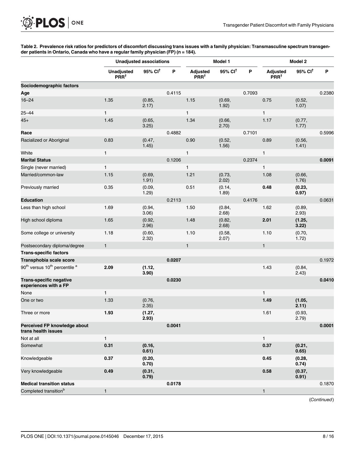[Table 2.](#page-6-0) Prevalence risk ratios for predictors of discomfort discussing trans issues with a family physician: Transmasculine spectrum transgender patients in Ontario, Canada who have a regular family physician (FP) (n = 184).

|                                                                  |                                       | <b>Unadjusted associations</b> |        |                                     | Model 1             |        |                              | Model 2             |        |
|------------------------------------------------------------------|---------------------------------------|--------------------------------|--------|-------------------------------------|---------------------|--------|------------------------------|---------------------|--------|
|                                                                  | <b>Unadjusted</b><br>PRR <sup>t</sup> | 95% CI <sup>t</sup>            | P      | <b>Adjusted</b><br>PRR <sup>†</sup> | 95% CI <sup>t</sup> | P      | Adjusted<br>PRR <sup>†</sup> | 95% CI <sup>t</sup> | P      |
| Sociodemographic factors                                         |                                       |                                |        |                                     |                     |        |                              |                     |        |
| Age                                                              |                                       |                                | 0.4115 |                                     |                     | 0.7093 |                              |                     | 0.2380 |
| $16 - 24$                                                        | 1.35                                  | (0.85,<br>2.17)                |        | 1.15                                | (0.69,<br>1.92)     |        | 0.75                         | (0.52,<br>1.07)     |        |
| $25 - 44$                                                        | $\mathbf{1}$                          |                                |        | $\mathbf{1}$                        |                     |        | $\mathbf{1}$                 |                     |        |
| $45+$                                                            | 1.45                                  | (0.65,<br>3.25)                |        | 1.34                                | (0.66,<br>2.70)     |        | 1.17                         | (0.77,<br>1.77)     |        |
| Race                                                             |                                       |                                | 0.4882 |                                     |                     | 0.7101 |                              |                     | 0.5996 |
| Racialized or Aboriginal                                         | 0.83                                  | (0.47,<br>1.45)                |        | 0.90                                | (0.52,<br>1.56)     |        | 0.89                         | (0.56,<br>1.41)     |        |
| White                                                            | $\mathbf{1}$                          |                                |        | $\mathbf{1}$                        |                     |        | $\mathbf{1}$                 |                     |        |
| <b>Marital Status</b>                                            |                                       |                                | 0.1206 |                                     |                     | 0.2374 |                              |                     | 0.0091 |
| Single (never married)                                           | $\mathbf{1}$                          |                                |        | $\mathbf{1}$                        |                     |        | $\mathbf{1}$                 |                     |        |
| Married/common-law                                               | 1.15                                  | (0.69,<br>1.91)                |        | 1.21                                | (0.73,<br>2.02)     |        | 1.08                         | (0.66,<br>1.76)     |        |
| Previously married                                               | 0.35                                  | (0.09,<br>1.29)                |        | 0.51                                | (0.14,<br>1.89)     |        | 0.48                         | (0.23,<br>0.97)     |        |
| <b>Education</b>                                                 |                                       |                                | 0.2113 |                                     |                     | 0.4176 |                              |                     | 0.0631 |
| Less than high school                                            | 1.69                                  | (0.94,<br>3.06)                |        | 1.50                                | (0.84,<br>2.68)     |        | 1.62                         | (0.89,<br>2.93)     |        |
| High school diploma                                              | 1.65                                  | (0.92,<br>2.96)                |        | 1.48                                | (0.82,<br>2.68)     |        | 2.01                         | (1.25,<br>3.22)     |        |
| Some college or university                                       | 1.18                                  | (0.60,<br>2.32)                |        | 1.10                                | (0.58,<br>2.07)     |        | 1.10                         | (0.70,<br>1.72)     |        |
| Postsecondary diploma/degree                                     | $\mathbf{1}$                          |                                |        | $\mathbf{1}$                        |                     |        | $\mathbf{1}$                 |                     |        |
| <b>Trans-specific factors</b>                                    |                                       |                                |        |                                     |                     |        |                              |                     |        |
| Transphobia scale score                                          |                                       |                                | 0.0207 |                                     |                     |        |                              |                     | 0.1972 |
| 90 <sup>th</sup> versus 10 <sup>th</sup> percentile <sup>a</sup> | 2.09                                  | (1.12,<br>3.90)                |        |                                     |                     |        | 1.43                         | (0.84,<br>2.43)     |        |
| Trans-specific negative<br>experiences with a FP                 |                                       |                                | 0.0230 |                                     |                     |        |                              |                     | 0.0410 |
| None                                                             | $\mathbf{1}$                          |                                |        |                                     |                     |        | $\mathbf{1}$                 |                     |        |
| One or two                                                       | 1.33                                  | (0.76,<br>2.35)                |        |                                     |                     |        | 1.49                         | (1.05,<br>2.11)     |        |
| Three or more                                                    | 1.93                                  | (1.27,<br>2.93)                |        |                                     |                     |        | 1.61                         | (0.93,<br>2.79)     |        |
| Perceived FP knowledge about<br>trans health issues              |                                       |                                | 0.0041 |                                     |                     |        |                              |                     | 0.0001 |
| Not at all                                                       | $\mathbf{1}$                          |                                |        |                                     |                     |        | $\mathbf{1}$                 |                     |        |
| Somewhat                                                         | 0.31                                  | (0.16,<br>0.61)                |        |                                     |                     |        | 0.37                         | (0.21,<br>0.65)     |        |
| Knowledgeable                                                    | 0.37                                  | (0.20,<br>0.70)                |        |                                     |                     |        | 0.45                         | (0.28,<br>0.74)     |        |
| Very knowledgeable                                               | 0.49                                  | (0.31,<br>0.79)                |        |                                     |                     |        | 0.58                         | (0.37,<br>0.91)     |        |
| <b>Medical transition status</b>                                 |                                       |                                | 0.0178 |                                     |                     |        |                              |                     | 0.1870 |
| Completed transition <sup>b</sup>                                | $\mathbf{1}$                          |                                |        |                                     |                     |        | $\mathbf{1}$                 |                     |        |

(Continued)

PLOS | ONE

<span id="page-8-0"></span> $\bigoplus$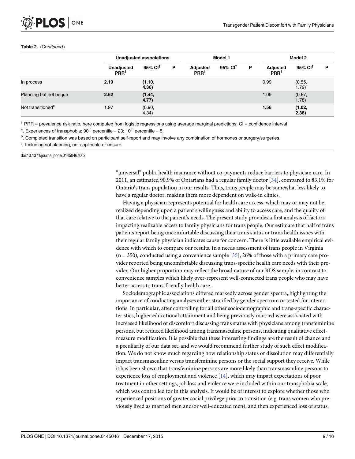#### <span id="page-9-0"></span>Table 2. (Continued)

|                               | <b>Unadjusted associations</b>       |                     | Model 1 |                             |                        | Model 2 |                             |                     |   |
|-------------------------------|--------------------------------------|---------------------|---------|-----------------------------|------------------------|---------|-----------------------------|---------------------|---|
|                               | <b>Unadjusted</b><br>$PRR^{\dagger}$ | 95% CI <sup>t</sup> | P       | Adjusted<br>$PRR^{\dagger}$ | $95\%$ CI <sup>t</sup> | P       | Adjusted<br>$PRR^{\dagger}$ | 95% CI <sup>t</sup> | P |
| In process                    | 2.19                                 | (1.10,<br>4.36)     |         |                             |                        |         | 0.99                        | (0.55,<br>1.79)     |   |
| Planning but not begun        | 2.62                                 | (1.44,<br>4.77)     |         |                             |                        |         | 1.09                        | (0.67,<br>1.78)     |   |
| Not transitioned <sup>c</sup> | 1.97                                 | (0.90,<br>4.34)     |         |                             |                        |         | 1.56                        | (1.02,<br>2.38)     |   |

 $\dagger$  PRR = prevalence risk ratio, here computed from logistic regressions using average marginal predictions; CI = confidence interval

<sup>a</sup>. Experiences of transphobia:  $90<sup>th</sup>$  percentile = 23;  $10<sup>th</sup>$  percentile = 5.

<sup>b</sup>. Completed transition was based on participant self-report and may involve any combination of hormones or surgery/surgeries.

<sup>c</sup>. Including not planning, not applicable or unsure.

doi:10.1371/journal.pone.0145046.t002

"universal" public health insurance without co-payments reduce barriers to physician care. In 2011, an estimated 90.9% of Ontarians had a regular family doctor [[34](#page-15-0)], compared to 83.1% for Ontario's trans population in our results. Thus, trans people may be somewhat less likely to have a regular doctor, making them more dependent on walk-in clinics.

Having a physician represents potential for health care access, which may or may not be realized depending upon a patient's willingness and ability to access care, and the quality of that care relative to the patient's needs. The present study provides a first analysis of factors impacting realizable access to family physicians for trans people. Our estimate that half of trans patients report being uncomfortable discussing their trans status or trans health issues with their regular family physician indicates cause for concern. There is little available empirical evidence with which to compare our results. In a needs assessment of trans people in Virginia  $(n = 350)$ , conducted using a convenience sample [\[35](#page-15-0)], 26% of those with a primary care provider reported being uncomfortable discussing trans-specific health care needs with their provider. Our higher proportion may reflect the broad nature of our RDS sample, in contrast to convenience samples which likely over-represent well-connected trans people who may have better access to trans-friendly health care.

Sociodemographic associations differed markedly across gender spectra, highlighting the importance of conducting analyses either stratified by gender spectrum or tested for interactions. In particular, after controlling for all other sociodemographic and trans-specific characteristics, higher educational attainment and being previously married were associated with increased likelihood of discomfort discussing trans status with physicians among transfeminine persons, but reduced likelihood among transmasculine persons, indicating qualitative effectmeasure modification. It is possible that these interesting findings are the result of chance and a peculiarity of our data set, and we would recommend further study of such effect modification. We do not know much regarding how relationship status or dissolution may differentially impact transmasculine versus transfeminine persons or the social support they receive. While it has been shown that transfeminine persons are more likely than transmasculine persons to experience loss of employment and violence [[14](#page-14-0)], which may impact expectations of poor treatment in other settings, job loss and violence were included within our transphobia scale, which was controlled for in this analysis. It would be of interest to explore whether those who experienced positions of greater social privilege prior to transition (e.g. trans women who previously lived as married men and/or well-educated men), and then experienced loss of status,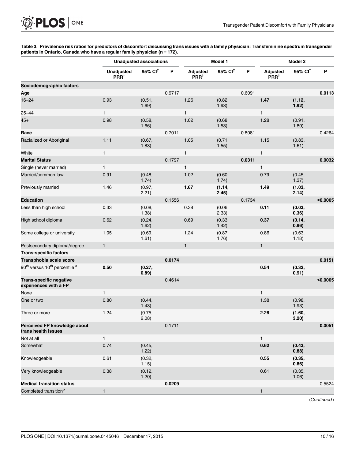[Table 3.](#page-6-0) Prevalence risk ratios for predictors of discomfort discussing trans issues with a family physician: Transfeminine spectrum transgender patients in Ontario, Canada who have a regular family physician (n = 172).

|                                                                  |                                      | <b>Unadjusted associations</b> |        | Model 1                            |                        |        | Model 2                            |                     |          |
|------------------------------------------------------------------|--------------------------------------|--------------------------------|--------|------------------------------------|------------------------|--------|------------------------------------|---------------------|----------|
|                                                                  | <b>Unadjusted</b><br>$PRR^{\dagger}$ | $95\%$ CI <sup>t</sup>         | P      | <b>Adjusted</b><br>$PRR^{\dagger}$ | $95\%$ CI <sup>t</sup> | P      | <b>Adjusted</b><br>$PRR^{\dagger}$ | 95% CI <sup>t</sup> | P        |
| Sociodemographic factors                                         |                                      |                                |        |                                    |                        |        |                                    |                     |          |
| Age                                                              |                                      |                                | 0.9717 |                                    |                        | 0.6091 |                                    |                     | 0.0113   |
| $16 - 24$                                                        | 0.93                                 | (0.51,<br>1.69)                |        | 1.26                               | (0.82,<br>1.93)        |        | 1.47                               | (1.12,<br>1.92)     |          |
| $25 - 44$                                                        | $\mathbf{1}$                         |                                |        | $\mathbf{1}$                       |                        |        | $\mathbf{1}$                       |                     |          |
| $45+$                                                            | 0.98                                 | (0.58,<br>1.66)                |        | 1.02                               | (0.68,<br>1.53)        |        | 1.28                               | (0.91,<br>1.80)     |          |
| Race                                                             |                                      |                                | 0.7011 |                                    |                        | 0.8081 |                                    |                     | 0.4264   |
| Racialized or Aboriginal                                         | 1.11                                 | (0.67,<br>1.83)                |        | 1.05                               | (0.71,<br>1.55)        |        | 1.15                               | (0.83,<br>1.61)     |          |
| White                                                            | $\mathbf{1}$                         |                                |        | $\mathbf{1}$                       |                        |        | $\mathbf{1}$                       |                     |          |
| <b>Marital Status</b>                                            |                                      |                                | 0.1797 |                                    |                        | 0.0311 |                                    |                     | 0.0032   |
| Single (never married)                                           | $\mathbf{1}$                         |                                |        | 1                                  |                        |        | $\mathbf{1}$                       |                     |          |
| Married/common-law                                               | 0.91                                 | (0.48,<br>1.74)                |        | 1.02                               | (0.60,<br>1.74)        |        | 0.79                               | (0.45,<br>1.37)     |          |
| Previously married                                               | 1.46                                 | (0.97,<br>2.21)                |        | 1.67                               | (1.14,<br>2.45)        |        | 1.49                               | (1.03,<br>2.14)     |          |
| <b>Education</b>                                                 |                                      |                                | 0.1556 |                                    |                        | 0.1734 |                                    |                     | < 0.0005 |
| Less than high school                                            | 0.33                                 | (0.08,<br>1.38)                |        | 0.38                               | (0.06,<br>2.33)        |        | 0.11                               | (0.03,<br>0.36)     |          |
| High school diploma                                              | 0.62                                 | (0.24,<br>1.62)                |        | 0.69                               | (0.33,<br>1.42)        |        | 0.37                               | (0.14,<br>0.96)     |          |
| Some college or university                                       | 1.05                                 | (0.69,<br>1.61)                |        | 1.24                               | (0.87,<br>1.76)        |        | 0.86                               | (0.63,<br>1.18)     |          |
| Postsecondary diploma/degree                                     | $\mathbf{1}$                         |                                |        | $\mathbf{1}$                       |                        |        | $\mathbf{1}$                       |                     |          |
| <b>Trans-specific factors</b>                                    |                                      |                                |        |                                    |                        |        |                                    |                     |          |
| Transphobia scale score                                          |                                      |                                | 0.0174 |                                    |                        |        |                                    |                     | 0.0151   |
| 90 <sup>th</sup> versus 10 <sup>th</sup> percentile <sup>a</sup> | 0.50                                 | (0.27,<br>0.89)                |        |                                    |                        |        | 0.54                               | (0.32,<br>0.91)     |          |
| Trans-specific negative<br>experiences with a FP                 |                                      |                                | 0.4614 |                                    |                        |        |                                    |                     | < 0.0005 |
| None                                                             | $\mathbf{1}$                         |                                |        |                                    |                        |        | $\mathbf{1}$                       |                     |          |
| One or two                                                       | 0.80                                 | (0.44,<br>1.43)                |        |                                    |                        |        | 1.38                               | (0.98,<br>1.93)     |          |
| Three or more                                                    | 1.24                                 | (0.75,<br>2.08)                |        |                                    |                        |        | 2.26                               | (1.60,<br>3.20)     |          |
| Perceived FP knowledge about<br>trans health issues              |                                      |                                | 0.1711 |                                    |                        |        |                                    |                     | 0.0051   |
| Not at all                                                       | $\mathbf{1}$                         |                                |        |                                    |                        |        | 1                                  |                     |          |
| Somewhat                                                         | 0.74                                 | (0.45,<br>1.22)                |        |                                    |                        |        | 0.62                               | (0.43,<br>0.88)     |          |
| Knowledgeable                                                    | 0.61                                 | (0.32,<br>1.15)                |        |                                    |                        |        | 0.55                               | (0.35,<br>0.86)     |          |
| Very knowledgeable                                               | 0.38                                 | (0.12,<br>1.20)                |        |                                    |                        |        | 0.61                               | (0.35,<br>1.06)     |          |
| <b>Medical transition status</b>                                 |                                      |                                | 0.0209 |                                    |                        |        |                                    |                     | 0.5524   |
| Completed transition <sup>b</sup>                                | $\mathbf{1}$                         |                                |        |                                    |                        |        | $\mathbf{1}$                       |                     |          |

(Continued)

PLOS | ONE

<span id="page-10-0"></span> $\cdot \circledcirc$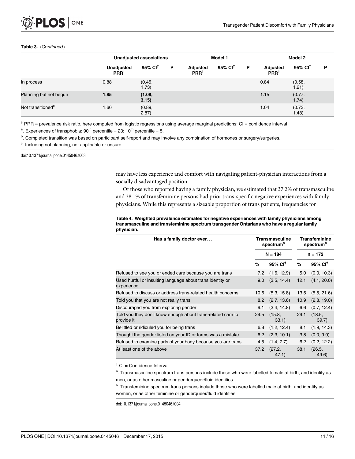#### <span id="page-11-0"></span>Table 3. (Continued)

|                               |                               | <b>Unadjusted associations</b> |   | Model 1                            |                     |   | Model 2                            |                        |   |
|-------------------------------|-------------------------------|--------------------------------|---|------------------------------------|---------------------|---|------------------------------------|------------------------|---|
|                               | Unadjusted<br>$PRR^{\dagger}$ | 95% CI <sup>t</sup>            | P | <b>Adjusted</b><br>$PRR^{\dagger}$ | 95% CI <sup>t</sup> | P | <b>Adjusted</b><br>$PRR^{\dagger}$ | $95\%$ CI <sup>t</sup> | P |
| In process                    | 0.88                          | (0.45,<br>1.73)                |   |                                    |                     |   | 0.84                               | (0.58,<br>1.21)        |   |
| Planning but not begun        | 1.85                          | (1.08,<br>3.15)                |   |                                    |                     |   | 1.15                               | (0.77,<br>1.74)        |   |
| Not transitioned <sup>c</sup> | 1.60                          | (0.89,<br>(2.87)               |   |                                    |                     |   | 1.04                               | (0.73,<br>1.48)        |   |

 $\dagger$  PRR = prevalence risk ratio, here computed from logistic regressions using average marginal predictions; CI = confidence interval

<sup>a</sup>. Experiences of transphobia:  $90<sup>th</sup>$  percentile = 23;  $10<sup>th</sup>$  percentile = 5.

<sup>b</sup>. Completed transition was based on participant self-report and may involve any combination of hormones or surgery/surgeries.

<sup>c</sup>. Including not planning, not applicable or unsure.

doi:10.1371/journal.pone.0145046.t003

may have less experience and comfort with navigating patient-physician interactions from a socially disadvantaged position.

Of those who reported having a family physician, we estimated that 37.2% of transmasculine and 38.1% of transfeminine persons had prior trans-specific negative experiences with family physicians. While this represents a sizeable proportion of trans patients, frequencies for

[Table 4.](#page-6-0) Weighted prevalence estimates for negative experiences with family physicians among transmasculine and transfeminine spectrum transgender Ontarians who have a regular family physician.

| Has a family doctor ever                                                  |      | <b>Transmasculine</b><br>spectrum <sup>a</sup> | <b>Transfeminine</b><br>spectrumb<br>$n = 172$ |                        |  |
|---------------------------------------------------------------------------|------|------------------------------------------------|------------------------------------------------|------------------------|--|
|                                                                           |      | $N = 184$                                      |                                                |                        |  |
|                                                                           | ℅    | $95\%$ CI <sup>t</sup>                         | %                                              | $95\%$ CI <sup>t</sup> |  |
| Refused to see you or ended care because you are trans                    | 7.2  | (1.6, 12.9)                                    | 5.0                                            | (0.0, 10.3)            |  |
| Used hurtful or insulting language about trans identity or<br>experience  | 9.0  | (3.5, 14.4)                                    | 12.1                                           | (4.1, 20.0)            |  |
| Refused to discuss or address trans-related health concerns               | 10.6 | (5.3, 15.8)                                    | 13.5                                           | (5.5, 21.6)            |  |
| Told you that you are not really trans                                    | 8.2  | (2.7, 13.6)                                    | 10.9                                           | (2.8, 19.0)            |  |
| Discouraged you from exploring gender                                     | 9.1  | (3.4, 14.8)                                    | 6.6                                            | (0.7, 12.4)            |  |
| Told you they don't know enough about trans-related care to<br>provide it | 24.5 | (15.8,<br>33.1)                                | 29.1                                           | (18.5,<br>39.7)        |  |
| Belittled or ridiculed you for being trans                                | 6.8  | (1.2, 12.4)                                    | 8.1                                            | (1.9, 14.3)            |  |
| Thought the gender listed on your ID or forms was a mistake               | 6.2  | (2.3, 10.1)                                    | 3.8                                            | (0.0, 9.0)             |  |
| Refused to examine parts of your body because you are trans               | 4.5  | (1.4, 7.7)                                     | 6.2                                            | (0.2, 12.2)            |  |
| At least one of the above                                                 | 37.2 | (27.2,<br>47.1)                                | 38.1                                           | (26.5,<br>49.6)        |  |

 $<sup>†</sup>$  CI = Confidence Interval</sup>

a. Transmasculine spectrum trans persons include those who were labelled female at birth, and identify as men, or as other masculine or genderqueer/fluid identities

<sup>b</sup>. Transfeminine spectrum trans persons include those who were labelled male at birth, and identify as women, or as other feminine or genderqueer/fluid identities

doi:10.1371/journal.pone.0145046.t004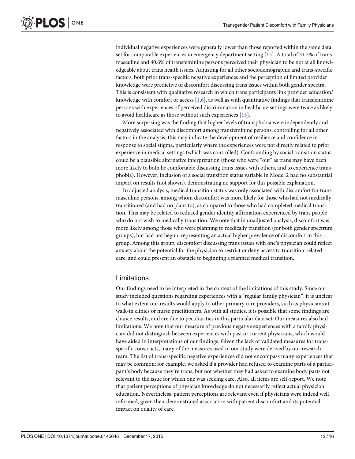individual negative experiences were generally lower than those reported within the same data set for comparable experiences in emergency department setting [[13](#page-14-0)]. A total of 31.2% of transmasculine and 40.6% of transfeminine persons perceived their physician to be not at all knowledgeable about trans health issues. Adjusting for all other sociodemographic and trans-specific factors, both prior trans-specific negative experiences and the perception of limited provider knowledge were predictive of discomfort discussing trans issues within both gender spectra. This is consistent with qualitative research in which trans participants link provider education/ knowledge with comfort or access  $[1,6]$  $[1,6]$  $[1,6]$  $[1,6]$  $[1,6]$ , as well as with quantitative findings that transfeminine persons with experiences of perceived discrimination in healthcare settings were twice as likely to avoid healthcare as those without such experiences [[15](#page-14-0)].

More surprising was the finding that higher levels of transphobia were independently and negatively associated with discomfort among transfeminine persons, controlling for all other factors in the analysis; this may indicate the development of resilience and confidence in response to social stigma, particularly where the experiences were not directly related to prior experience in medical settings (which was controlled). Confounding by social transition status could be a plausible alternative interpretation (those who were "out" as trans may have been more likely to both be comfortable discussing trans issues with others, and to experience transphobia). However, inclusion of a social transition status variable in Model 2 had no substantial impact on results (not shown), demonstrating no support for this possible explanation.

In adjusted analysis, medical transition status was only associated with discomfort for transmasculine persons, among whom discomfort was more likely for those who had not medically transitioned (and had no plans to), as compared to those who had completed medical transition. This may be related to reduced gender identity affirmation experienced by trans people who do not wish to medically transition. We note that in unadjusted analysis, discomfort was more likely among those who were planning to medically transition (for both gender spectrum groups), but had not begun, representing an actual higher prevalence of discomfort in this group. Among this group, discomfort discussing trans issues with one's physician could reflect anxiety about the potential for the physician to restrict or deny access to transition-related care, and could present an obstacle to beginning a planned medical transition.

#### Limitations

Our findings need to be interpreted in the context of the limitations of this study. Since our study included questions regarding experiences with a "regular family physician", it is unclear to what extent our results would apply to other primary care providers, such as physicians at walk-in clinics or nurse practitioners. As with all studies, it is possible that some findings are chance results, and are due to peculiarities in this particular data set. Our measures also had limitations. We note that our measure of previous negative experiences with a family physician did not distinguish between experiences with past or current physicians, which would have aided in interpretations of our findings. Given the lack of validated measures for transspecific constructs, many of the measures used in our study were derived by our research team. The list of trans-specific negative experiences did not encompass many experiences that may be common; for example, we asked if a provider had refused to examine parts of a participant's body because they're trans, but not whether they had asked to examine body parts not relevant to the issue for which one was seeking care. Also, all items are self-report. We note that patient perceptions of physician knowledge do not necessarily reflect actual physician education. Nevertheless, patient perceptions are relevant even if physicians were indeed well informed, given their demonstrated association with patient discomfort and its potential impact on quality of care.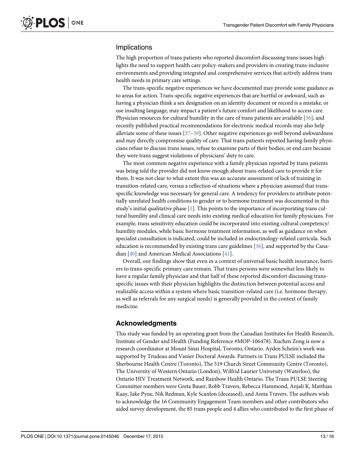#### <span id="page-13-0"></span>Implications

The high proportion of trans patients who reported discomfort discussing trans issues highlights the need to support health care policy-makers and providers in creating trans-inclusive environments and providing integrated and comprehensive services that actively address trans health needs in primary care settings.

The trans-specific negative experiences we have documented may provide some guidance as to areas for action. Trans-specific negative experiences that are hurtful or awkward, such as having a physician think a sex designation on an identity document or record is a mistake, or use insulting language, may impact a patient's future comfort and likelihood to access care. Physician resources for cultural humility in the care of trans patients are available [\[36\]](#page-15-0), and recently published practical recommendations for electronic medical records may also help alleviate some of these issues [[37](#page-15-0)–[39](#page-16-0)]. Other negative experiences go well beyond awkwardness and may directly compromise quality of care. That trans patients reported having family physicians refuse to discuss trans issues, refuse to examine parts of their bodies, or end care because they were trans suggest violations of physicians' duty to care.

The most common negative experience with a family physician reported by trans patients was being told the provider did not know enough about trans-related care to provide it for them. It was not clear to what extent this was an accurate assessment of lack of training in transition-related care, versus a reflection of situations where a physician assumed that transspecific knowledge was necessary for general care. A tendency for providers to attribute potentially unrelated health conditions to gender or to hormone treatment was documented in this study's initial qualitative phase  $[1]$  $[1]$ . This points to the importance of incorporating trans cultural humility and clinical care needs into existing medical education for family physicians. For example, trans sensitivity education could be incorporated into existing cultural competency/ humility modules, while basic hormone treatment information, as well as guidance on when specialist consultation is indicated, could be included in endocrinology-related curricula. Such education is recommended by existing trans care guidelines [[36\]](#page-15-0), and supported by the Canadian [\[40\]](#page-16-0) and American Medical Associations [\[41\]](#page-16-0).

Overall, our findings show that even in a context of universal basic health insurance, barriers to trans-specific primary care remain. That trans persons were somewhat less likely to have a regular family physician and that half of these reported discomfort discussing transspecific issues with their physician highlights the distinction between potential access and realizable access within a system where basic transition-related care (i.e. hormone therapy, as well as referrals for any surgical needs) is generally provided in the context of family medicine.

#### Acknowledgments

This study was funded by an operating grant from the Canadian Institutes for Health Research, Institute of Gender and Health (Funding Reference #MOP-106478). Xuchen Zong is now a research coordinator at Mount Sinai Hospital, Toronto, Ontario. Ayden Scheim's work was supported by Trudeau and Vanier Doctoral Awards. Partners in Trans PULSE included the Sherbourne Health Centre (Toronto), The 519 Church Street Community Centre (Toronto), The University of Western Ontario (London), Wilfrid Laurier University (Waterloo), the Ontario HIV Treatment Network, and Rainbow Health Ontario. The Trans PULSE Steering Committee members were Greta Bauer, Robb Travers, Rebecca Hammond, Anjali K, Matthias Kaay, Jake Pyne, Nik Redman, Kyle Scanlon (deceased), and Anna Travers. The authors wish to acknowledge the 16 Community Engagement Team members and other contributors who aided survey development, the 85 trans people and 4 allies who contributed to the first phase of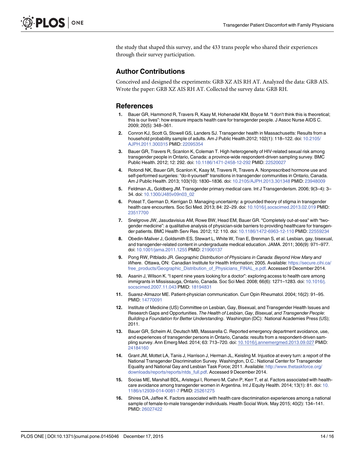<span id="page-14-0"></span>the study that shaped this survey, and the 433 trans people who shared their experiences through their survey participation.

#### Author Contributions

Conceived and designed the experiments: GRB XZ AIS RH AT. Analyzed the data: GRB AIS. Wrote the paper: GRB XZ AIS RH AT. Collected the survey data: GRB RH.

#### **References**

- [1.](#page-2-0) Bauer GR, Hammond R, Travers R, Kaay M, Hohenadel KM, Boyce M. "I don't think this is theoretical; this is our lives": how erasure impacts health care for transgender people. J Assoc Nurse AIDS C. 2009; 20(5): 348–361.
- [2.](#page-2-0) Conron KJ, Scott G, Stowell GS, Landers SJ. Transgender health in Massachusetts: Results from a household probability sample of adults. Am J Public Health.2012; 102(1): 118–122. doi: [10.2105/](http://dx.doi.org/10.2105/AJPH.2011.300315) [AJPH.2011.300315](http://dx.doi.org/10.2105/AJPH.2011.300315) PMID: [22095354](http://www.ncbi.nlm.nih.gov/pubmed/22095354)
- [3.](#page-2-0) Bauer GR, Travers R, Scanlon K, Coleman T. High heterogeneity of HIV-related sexual risk among transgender people in Ontario, Canada: a province-wide respondent-driven sampling survey. BMC Public Health. 2012; 12: 292. doi: [10.1186/1471-2458-12-292](http://dx.doi.org/10.1186/1471-2458-12-292) PMID: [22520027](http://www.ncbi.nlm.nih.gov/pubmed/22520027)
- [4.](#page-2-0) Rotondi NK, Bauer GR, Scanlon K, Kaay M, Travers R, Travers A. Nonprescribed hormone use and self-performed surgeries: "do-it-yourself" transitions in transgender communities in Ontario, Canada. Am J Public Health. 2013; 103(10): 1830–1836. doi: [10.2105/AJPH.2013.301348](http://dx.doi.org/10.2105/AJPH.2013.301348) PMID: [23948009](http://www.ncbi.nlm.nih.gov/pubmed/23948009)
- [5.](#page-2-0) Feldman JL, Goldberg JM. Transgender primary medical care. Int J Transgenderism. 2006; 9(3–4): 3– 34. doi: [10.1300/J485v09n03\\_02](http://dx.doi.org/10.1300/J485v09n03_02)
- [6.](#page-2-0) Poteat T, German D, Kerrigan D. Managing uncertainty: a grounded theory of stigma in transgender health care encounters. Soc Sci Med. 2013; 84: 22–29. doi: [10.1016/j.socscimed.2013.02.019](http://dx.doi.org/10.1016/j.socscimed.2013.02.019) PMID: [23517700](http://www.ncbi.nlm.nih.gov/pubmed/23517700)
- [7.](#page-2-0) Snelgrove JW, Jasudavisius AM, Rowe BW, Head EM, Bauer GR. "Completely out-at-sea" with "twogender medicine": a qualitative analysis of physician-side barriers to providing healthcare for transgender patients. BMC Health Serv Res. 2012; 12: 110. doi: [10.1186/1472-6963-12-110](http://dx.doi.org/10.1186/1472-6963-12-110) PMID: [22559234](http://www.ncbi.nlm.nih.gov/pubmed/22559234)
- [8.](#page-2-0) Obedin-Maliver J, Goldsmith ES, Stewart L, White W, Tran E, Brenman S, et al. Lesbian, gay, bisexual, and transgender-related content in undergraduate medical education. JAMA. 2011; 306(9): 971–977. doi: [10.1001/jama.2011.1255](http://dx.doi.org/10.1001/jama.2011.1255) PMID: [21900137](http://www.ncbi.nlm.nih.gov/pubmed/21900137)
- [9.](#page-2-0) Pong RW, Pitblado JR. Geographic Distribution of Physicians in Canada: Beyond How Many and Where. Ottawa, ON: Canadian Institute for Health Information; 2005. Available: [https://secure.cihi.ca/](https://secure.cihi.ca/free_products/Geographic_Distribution_of_Physicians_FINAL_e.pdf) [free\\_products/Geographic\\_Distribution\\_of\\_Physicians\\_FINAL\\_e.pdf](https://secure.cihi.ca/free_products/Geographic_Distribution_of_Physicians_FINAL_e.pdf). Accessed 9 December 2014.
- [10.](#page-2-0) Asanin J, Wilson K. "I spent nine years looking for a doctor": exploring access to health care among immigrants in Mississauga, Ontario, Canada. Soc Sci Med. 2008; 66(6): 1271–1283. doi: [10.1016/j.](http://dx.doi.org/10.1016/j.socscimed.2007.11.043) [socscimed.2007.11.043](http://dx.doi.org/10.1016/j.socscimed.2007.11.043) PMID: [18194831](http://www.ncbi.nlm.nih.gov/pubmed/18194831)
- [11.](#page-2-0) Suarez-Almazor ME. Patient-physician communication. Curr Opin Rheumatol. 2004; 16(2): 91–95. PMID: [14770091](http://www.ncbi.nlm.nih.gov/pubmed/14770091)
- [12.](#page-2-0) Institute of Medicine (US) Committee on Lesbian, Gay, Bisexual, and Transgender Health Issues and Research Gaps and Opportunities. The Health of Lesbian, Gay, Bisexual, and Transgender People: Building a Foundation for Better Understanding. Washington (DC): National Academies Press (US); 2011.
- [13.](#page-2-0) Bauer GR, Scheim AI, Deutsch MB, Massarella C. Reported emergency department avoidance, use, and experiences of transgender persons in Ontario, Canada: results from a respondent-driven sampling survey. Ann Emerg Med. 2014; 63: 713–720. doi: [10.1016/j.annemergmed.2013.09.027](http://dx.doi.org/10.1016/j.annemergmed.2013.09.027) PMID: [24184160](http://www.ncbi.nlm.nih.gov/pubmed/24184160)
- [14.](#page-2-0) Grant JM, Mottet LA, Tanis J, Harrison J, Herman JL, Keisling M. Injustice at every turn: a report of the National Transgender Discrimination Survey. Washington, D.C.: National Center for Transgender Equality and National Gay and Lesbian Task Force; 2011. Available: [http://www.thetaskforce.org/](http://www.thetaskforce.org/downloads/reports/reports/ntds_full.pdf) [downloads/reports/reports/ntds\\_full.pdf.](http://www.thetaskforce.org/downloads/reports/reports/ntds_full.pdf) Accessed 9 December 2014.
- [15.](#page-2-0) Socias ME, Marshall BDL, Aristegui I, Romero M, Cahn P, Kerr T, et al. Factors associated with health-care avoidance among transgender women in Argentina. Int J Equity Health. 2014; 13(1): 81. doi: [10.](http://dx.doi.org/10.1186/s12939-014-0081-7) [1186/s12939-014-0081-7](http://dx.doi.org/10.1186/s12939-014-0081-7) PMID: [25261275](http://www.ncbi.nlm.nih.gov/pubmed/25261275)
- [16.](#page-3-0) Shires DA, Jaffee K. Factors associated with health care discrimination experiences among a national sample of female-to-male transgender individuals. Health Social Work. May 2015; 40(2): 134–141. PMID: [26027422](http://www.ncbi.nlm.nih.gov/pubmed/26027422)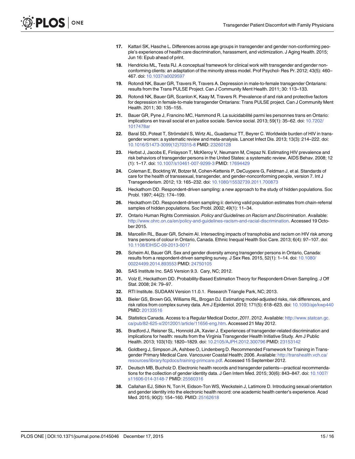- <span id="page-15-0"></span>[17.](#page-2-0) Kattari SK, Hasche L. Differences across age groups in transgender and gender non-conforming people's experiences of health care discrimination, harassment, and victimization. J Aging Health. 2015; Jun 16: Epub ahead of print.
- [18.](#page-3-0) Hendricks ML, Testa RJ. A conceptual framework for clinical work with transgender and gender nonconforming clients: an adaptation of the minority stress model. Prof Psychol- Res Pr. 2012; 43(5): 460– 467. doi: [10.1037/a0029597](http://dx.doi.org/10.1037/a0029597)
- [19.](#page-3-0) Rotondi NK, Bauer GR, Travers R, Travers A. Depression in male-to-female transgender Ontarians: results from the Trans PULSE Project. Can J Community Ment Health. 2011; 30: 113–133.
- [20.](#page-3-0) Rotondi NK, Bauer GR, Scanlon K, Kaay M, Travers R. Prevalence of and risk and protective factors for depression in female-to-male transgender Ontarians: Trans PULSE project. Can J Community Ment Health. 2011; 30: 135–155.
- [21.](#page-3-0) Bauer GR, Pyne J, Francino MC, Hammond R. La suicidabilité parmi les personnes trans en Ontario: implications en travail social et en justice sociale. Service social. 2013; 59(1): 35–62. doi: [10.7202/](http://dx.doi.org/10.7202/1017478ar) [1017478ar](http://dx.doi.org/10.7202/1017478ar)
- [22.](#page-3-0) Baral SD, Poteat T, Strömdahl S, Wirtz AL, Guadamuz TT, Beyrer C. Worldwide burden of HIV in transgender women: a systematic review and meta-analysis. Lancet Infect Dis. 2013; 13(3): 214–222. doi: [10.1016/S1473-3099\(12\)70315-8](http://dx.doi.org/10.1016/S1473-3099(12)70315-8) PMID: [23260128](http://www.ncbi.nlm.nih.gov/pubmed/23260128)
- [23.](#page-3-0) Herbst J, Jacobs E, Finlayson T, McKleroy V, Neumann M, Crepaz N. Estimating HIV prevalence and risk behaviors of transgender persons in the United States: a systematic review. AIDS Behav. 2008; 12 (1): 1–17. doi: [10.1007/s10461-007-9299-3](http://dx.doi.org/10.1007/s10461-007-9299-3) PMID: [17694429](http://www.ncbi.nlm.nih.gov/pubmed/17694429)
- [24.](#page-3-0) Coleman E, Bockting W, Botzer M, Cohen-Kettenis P, DeCuypere G, Feldman J, et al. Standards of care for the health of transsexual, transgender, and gender-nonconforming people, version 7. Int J Transgenderism. 2012; 13: 165–232. doi: [10.1080/15532739.2011.700873](http://dx.doi.org/10.1080/15532739.2011.700873)
- [25.](#page-3-0) Heckathorn DD. Respondent-driven sampling: a new approach to the study of hidden populations. Soc Probl. 1997; 44(2): 174–199.
- [26.](#page-3-0) Heckathorn DD. Respondent-driven sampling ii: deriving valid population estimates from chain-referral samples of hidden populations. Soc Probl. 2002; 49(1): 11–34.
- [27.](#page-5-0) Ontario Human Rights Commission. Policy and Guidelines on Racism and Discrimination. Available: <http://www.ohrc.on.ca/en/policy-and-guidelines-racism-and-racial-discrimination>. Accessed 19 October 2015.
- [28.](#page-5-0) Marcellin RL, Bauer GR, Scheim AI. Intersecting impacts of transphobia and racism on HIV risk among trans persons of colour in Ontario, Canada. Ethnic Inequal Health Soc Care. 2013; 6(4): 97–107. doi: [10.1108/EIHSC-09-2013-0017](http://dx.doi.org/10.1108/EIHSC-09-2013-0017)
- [29.](#page-5-0) Scheim AI, Bauer GR. Sex and gender diversity among transgender persons in Ontario, Canada: results from a respondent-driven sampling survey. J Sex Res. 2015, 52(1): 1–14. doi: [10.1080/](http://dx.doi.org/10.1080/00224499.2014.893553) [00224499.2014.893553](http://dx.doi.org/10.1080/00224499.2014.893553) PMID: [24750105](http://www.ncbi.nlm.nih.gov/pubmed/24750105)
- [30.](#page-5-0) SAS Institute Inc. SAS Version 9.3. Cary, NC; 2012.
- [31.](#page-5-0) Volz E, Heckathorn DD. Probability-Based Estimation Theory for Respondent-Driven Sampling. J Off Stat. 2008; 24: 79–97.
- [32.](#page-5-0) RTI Institute. SUDAAN Version 11.0.1. Research Triangle Park, NC; 2013.
- [33.](#page-5-0) Bieler GS, Brown GG, Williams RL, Brogan DJ. Estimating model-adjusted risks, risk differences, and risk ratios from complex survey data. Am J Epidemiol. 2010; 171(5): 618–623. doi: [10.1093/aje/kwp440](http://dx.doi.org/10.1093/aje/kwp440) PMID: [20133516](http://www.ncbi.nlm.nih.gov/pubmed/20133516)
- [34.](#page-9-0) Statistics Canada. Access to a Regular Medical Doctor, 2011. 2012. Available: [http://www.statcan.gc.](http://www.statcan.gc.ca/pub/82-625-x/2012001/article/11656-eng.htm) [ca/pub/82-625-x/2012001/article/11656-eng.htm](http://www.statcan.gc.ca/pub/82-625-x/2012001/article/11656-eng.htm). Accessed 21 May 2012.
- [35.](#page-9-0) Bradford J, Reisner SL, Honnold JA, Xavier J. Experiences of transgender-related discrimination and implications for health: results from the Virginia Transgender Health Initiative Study. Am J Public Health. 2013; 103(10): 1820–1829. doi: [10.2105/AJPH.2012.300796](http://dx.doi.org/10.2105/AJPH.2012.300796) PMID: [23153142](http://www.ncbi.nlm.nih.gov/pubmed/23153142)
- [36.](#page-13-0) Goldberg J, Simpson JA, Ashbee O, Lindenberg D. Recommended Framework for Training in Transgender Primary Medical Care. Vancouver Coastal Health; 2006. Available: [http://transhealth.vch.ca/](http://transhealth.vch.ca/resources/library/tcpdocs/training-primcare.pdf) [resources/library/tcpdocs/training-primcare.pdf](http://transhealth.vch.ca/resources/library/tcpdocs/training-primcare.pdf). Accessed 15 September 2012.
- [37.](#page-13-0) Deutsch MB, Bucholz D. Electronic health records and transgender patients—practical recommenda-tions for the collection of gender identity data. J Gen Intern Med. 2015; 30(6): 843-847. doi: [10.1007/](http://dx.doi.org/10.1007/s11606-014-3148-7) [s11606-014-3148-7](http://dx.doi.org/10.1007/s11606-014-3148-7) PMID: [25560316](http://www.ncbi.nlm.nih.gov/pubmed/25560316)
- 38. Callahan EJ, Sitkin N, Ton H, Eidson-Ton WS, Weckstein J, Latimore D. Introducing sexual orientation and gender identity into the electronic health record: one academic health center's experience. Acad Med. 2015; 90(2): 154–160. PMID: [25162618](http://www.ncbi.nlm.nih.gov/pubmed/25162618)